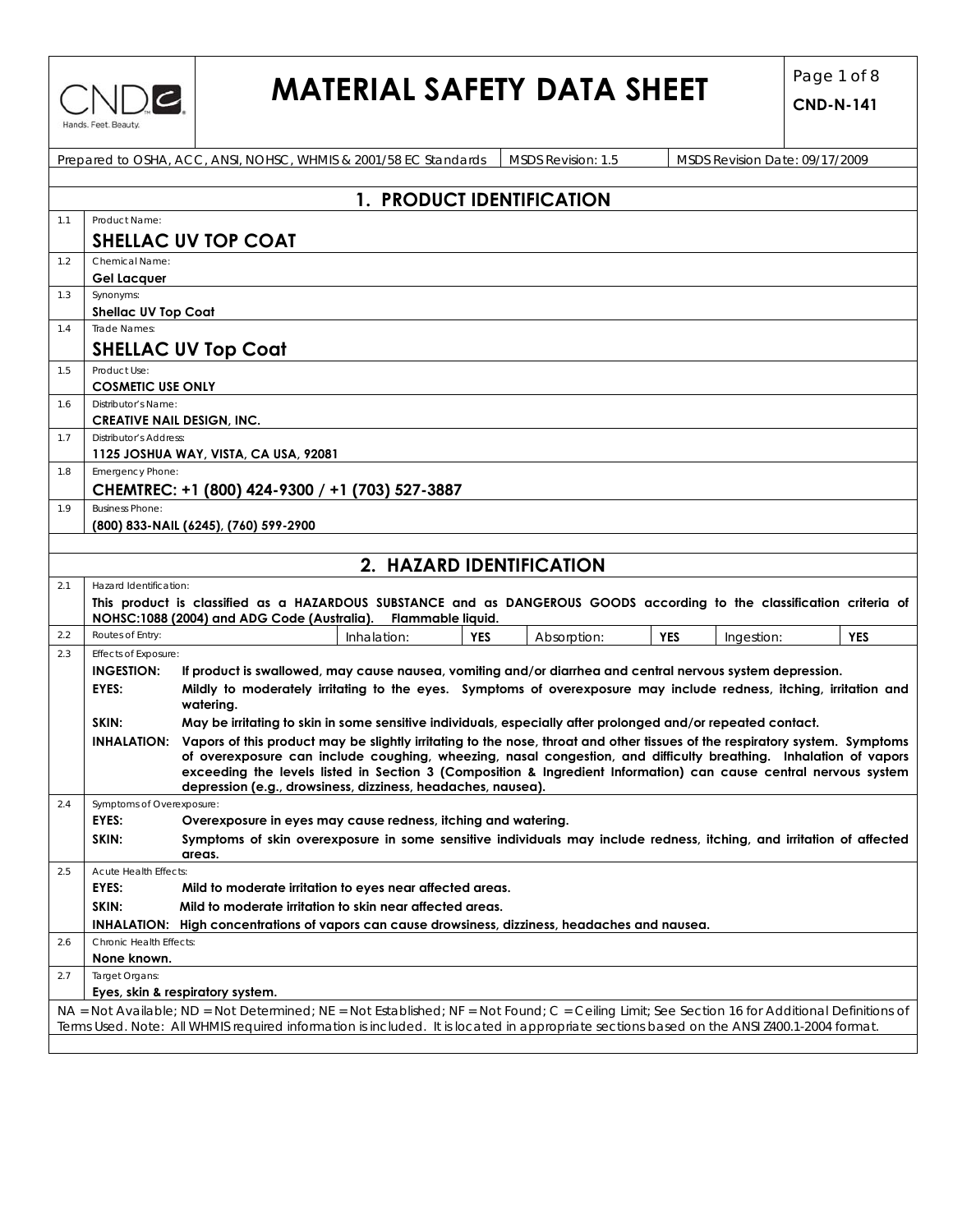

# **MATERIAL SAFETY DATA SHEET**  $\begin{bmatrix} \text{Page 1 of 8} \\ \text{CND-241} \end{bmatrix}$

| Prepared to OSHA, ACC, ANSI, NOHSC, WHMIS & 2001/58 EC Standards<br>MSDS Revision: 1.5<br>MSDS Revision Date: 09/17/2009 |                                                                                                                                           |                                                                                                                                                                                                                                                             |             |                                        |  |  |  |  |
|--------------------------------------------------------------------------------------------------------------------------|-------------------------------------------------------------------------------------------------------------------------------------------|-------------------------------------------------------------------------------------------------------------------------------------------------------------------------------------------------------------------------------------------------------------|-------------|----------------------------------------|--|--|--|--|
|                                                                                                                          |                                                                                                                                           |                                                                                                                                                                                                                                                             |             |                                        |  |  |  |  |
|                                                                                                                          |                                                                                                                                           | 1. PRODUCT IDENTIFICATION                                                                                                                                                                                                                                   |             |                                        |  |  |  |  |
| 1.1                                                                                                                      | Product Name:                                                                                                                             |                                                                                                                                                                                                                                                             |             |                                        |  |  |  |  |
|                                                                                                                          |                                                                                                                                           | SHELLAC UV TOP COAT                                                                                                                                                                                                                                         |             |                                        |  |  |  |  |
| 1.2                                                                                                                      | Chemical Name:                                                                                                                            |                                                                                                                                                                                                                                                             |             |                                        |  |  |  |  |
|                                                                                                                          | <b>Gel Lacquer</b>                                                                                                                        |                                                                                                                                                                                                                                                             |             |                                        |  |  |  |  |
| 1.3                                                                                                                      | Synonyms:<br>Shellac UV Top Coat                                                                                                          |                                                                                                                                                                                                                                                             |             |                                        |  |  |  |  |
| 1.4                                                                                                                      | Trade Names:                                                                                                                              |                                                                                                                                                                                                                                                             |             |                                        |  |  |  |  |
|                                                                                                                          |                                                                                                                                           | <b>SHELLAC UV Top Coat</b>                                                                                                                                                                                                                                  |             |                                        |  |  |  |  |
| 1.5                                                                                                                      | Product Use:                                                                                                                              |                                                                                                                                                                                                                                                             |             |                                        |  |  |  |  |
|                                                                                                                          | <b>COSMETIC USE ONLY</b>                                                                                                                  |                                                                                                                                                                                                                                                             |             |                                        |  |  |  |  |
| 1.6                                                                                                                      | Distributor's Name:                                                                                                                       |                                                                                                                                                                                                                                                             |             |                                        |  |  |  |  |
|                                                                                                                          | <b>CREATIVE NAIL DESIGN, INC.</b>                                                                                                         |                                                                                                                                                                                                                                                             |             |                                        |  |  |  |  |
| 1.7                                                                                                                      | <b>Distributor's Address:</b>                                                                                                             |                                                                                                                                                                                                                                                             |             |                                        |  |  |  |  |
| 1.8                                                                                                                      | Emergency Phone:                                                                                                                          | 1125 JOSHUA WAY, VISTA, CA USA, 92081                                                                                                                                                                                                                       |             |                                        |  |  |  |  |
|                                                                                                                          |                                                                                                                                           | CHEMTREC: +1 (800) 424-9300 / +1 (703) 527-3887                                                                                                                                                                                                             |             |                                        |  |  |  |  |
| 1.9                                                                                                                      | <b>Business Phone:</b>                                                                                                                    |                                                                                                                                                                                                                                                             |             |                                        |  |  |  |  |
|                                                                                                                          |                                                                                                                                           | (800) 833-NAIL (6245), (760) 599-2900                                                                                                                                                                                                                       |             |                                        |  |  |  |  |
|                                                                                                                          |                                                                                                                                           |                                                                                                                                                                                                                                                             |             |                                        |  |  |  |  |
|                                                                                                                          |                                                                                                                                           | 2. HAZARD IDENTIFICATION                                                                                                                                                                                                                                    |             |                                        |  |  |  |  |
| 2.1                                                                                                                      | Hazard Identification:                                                                                                                    |                                                                                                                                                                                                                                                             |             |                                        |  |  |  |  |
|                                                                                                                          |                                                                                                                                           | This product is classified as a HAZARDOUS SUBSTANCE and as DANGEROUS GOODS according to the classification criteria of<br>NOHSC:1088 (2004) and ADG Code (Australia).<br>Flammable liquid.                                                                  |             |                                        |  |  |  |  |
| 2.2                                                                                                                      | Routes of Entry:                                                                                                                          | <b>YES</b><br>Inhalation:                                                                                                                                                                                                                                   | Absorption: | <b>YES</b><br><b>YES</b><br>Ingestion: |  |  |  |  |
| 2.3                                                                                                                      | Effects of Exposure:                                                                                                                      |                                                                                                                                                                                                                                                             |             |                                        |  |  |  |  |
|                                                                                                                          | <b>INGESTION:</b>                                                                                                                         | If product is swallowed, may cause nausea, vomiting and/or diarrhea and central nervous system depression.                                                                                                                                                  |             |                                        |  |  |  |  |
|                                                                                                                          | EYES:                                                                                                                                     | Mildly to moderately irritating to the eyes. Symptoms of overexposure may include redness, itching, irritation and<br>watering.                                                                                                                             |             |                                        |  |  |  |  |
|                                                                                                                          | SKIN:                                                                                                                                     | May be irritating to skin in some sensitive individuals, especially after prolonged and/or repeated contact.                                                                                                                                                |             |                                        |  |  |  |  |
|                                                                                                                          |                                                                                                                                           | INHALATION: Vapors of this product may be slightly irritating to the nose, throat and other tissues of the respiratory system. Symptoms<br>of overexposure can include coughing, wheezing, nasal congestion, and difficulty breathing. Inhalation of vapors |             |                                        |  |  |  |  |
|                                                                                                                          |                                                                                                                                           | exceeding the levels listed in Section 3 (Composition & Ingredient Information) can cause central nervous system                                                                                                                                            |             |                                        |  |  |  |  |
|                                                                                                                          |                                                                                                                                           | depression (e.g., drowsiness, dizziness, headaches, nausea).                                                                                                                                                                                                |             |                                        |  |  |  |  |
| 2.4                                                                                                                      | Symptoms of Overexposure:                                                                                                                 |                                                                                                                                                                                                                                                             |             |                                        |  |  |  |  |
|                                                                                                                          | EYES:<br>SKIN:                                                                                                                            | Overexposure in eyes may cause redness, itching and watering.<br>Symptoms of skin overexposure in some sensitive individuals may include redness, itching, and irritation of affected                                                                       |             |                                        |  |  |  |  |
|                                                                                                                          |                                                                                                                                           | areas.                                                                                                                                                                                                                                                      |             |                                        |  |  |  |  |
| 2.5                                                                                                                      | <b>Acute Health Effects:</b><br>EYES:                                                                                                     | Mild to moderate irritation to eyes near affected areas.                                                                                                                                                                                                    |             |                                        |  |  |  |  |
|                                                                                                                          | SKIN:                                                                                                                                     | Mild to moderate irritation to skin near affected areas.                                                                                                                                                                                                    |             |                                        |  |  |  |  |
|                                                                                                                          |                                                                                                                                           | INHALATION: High concentrations of vapors can cause drowsiness, dizziness, headaches and nausea.                                                                                                                                                            |             |                                        |  |  |  |  |
| 2.6                                                                                                                      | Chronic Health Effects:                                                                                                                   |                                                                                                                                                                                                                                                             |             |                                        |  |  |  |  |
|                                                                                                                          | None known.                                                                                                                               |                                                                                                                                                                                                                                                             |             |                                        |  |  |  |  |
| 2.7                                                                                                                      | Target Organs:                                                                                                                            |                                                                                                                                                                                                                                                             |             |                                        |  |  |  |  |
|                                                                                                                          |                                                                                                                                           | Eyes, skin & respiratory system.                                                                                                                                                                                                                            |             |                                        |  |  |  |  |
|                                                                                                                          |                                                                                                                                           | NA = Not Available; ND = Not Determined; NE = Not Established; NF = Not Found; C = Ceiling Limit; See Section 16 for Additional Definitions of                                                                                                              |             |                                        |  |  |  |  |
|                                                                                                                          | Terms Used. Note: All WHMIS required information is included. It is located in appropriate sections based on the ANSI Z400.1-2004 format. |                                                                                                                                                                                                                                                             |             |                                        |  |  |  |  |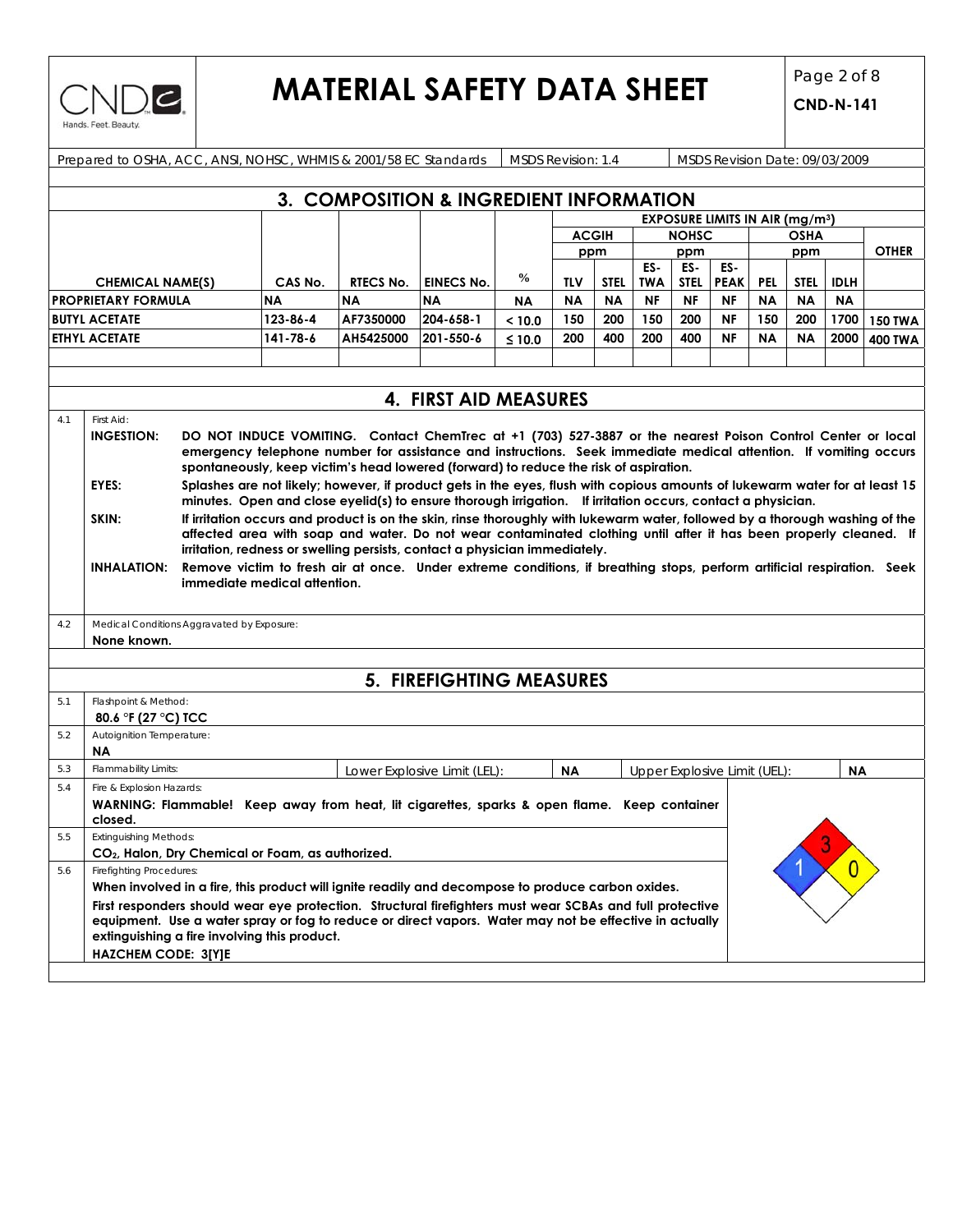

# **MATERIAL SAFETY DATA SHEET**  $\begin{bmatrix} \text{Page 2 of 8} \\ \text{CND-241} \end{bmatrix}$

|            | Prepared to OSHA, ACC, ANSI, NOHSC, WHMIS & 2001/58 EC Standards<br><b>MSDS Revision: 1.4</b><br>MSDS Revision Date: 09/03/2009                                                                                    |                              |           |                                                                                                                                                                                                           |                              |               |           |              |                   |              |                                                  |            |             |             |                |
|------------|--------------------------------------------------------------------------------------------------------------------------------------------------------------------------------------------------------------------|------------------------------|-----------|-----------------------------------------------------------------------------------------------------------------------------------------------------------------------------------------------------------|------------------------------|---------------|-----------|--------------|-------------------|--------------|--------------------------------------------------|------------|-------------|-------------|----------------|
|            |                                                                                                                                                                                                                    |                              |           |                                                                                                                                                                                                           |                              |               |           |              |                   |              |                                                  |            |             |             |                |
|            |                                                                                                                                                                                                                    |                              |           | 3. COMPOSITION & INGREDIENT INFORMATION                                                                                                                                                                   |                              |               |           |              |                   |              |                                                  |            |             |             |                |
|            |                                                                                                                                                                                                                    |                              |           |                                                                                                                                                                                                           |                              |               |           |              |                   |              | <b>EXPOSURE LIMITS IN AIR (mg/m<sup>3</sup>)</b> |            |             |             |                |
|            |                                                                                                                                                                                                                    |                              |           |                                                                                                                                                                                                           |                              |               |           | <b>ACGIH</b> |                   | <b>NOHSC</b> |                                                  |            | OSHA        |             |                |
|            |                                                                                                                                                                                                                    |                              |           |                                                                                                                                                                                                           |                              |               |           | ppm          | ppm<br>ES-<br>ES- |              | ES-                                              | ppm        |             |             | <b>OTHER</b>   |
|            | <b>CHEMICAL NAME(S)</b>                                                                                                                                                                                            |                              | CAS No.   | <b>RTECS No.</b>                                                                                                                                                                                          | <b>EINECS No.</b>            | $\frac{6}{9}$ | TLV       | <b>STEL</b>  | <b>TWA</b>        | <b>STEL</b>  | <b>PEAK</b>                                      | <b>PEL</b> | <b>STEL</b> | <b>IDLH</b> |                |
|            | <b>PROPRIETARY FORMULA</b>                                                                                                                                                                                         |                              | <b>NA</b> | <b>NA</b>                                                                                                                                                                                                 | <b>NA</b>                    | ΝA            | <b>NA</b> | <b>NA</b>    | <b>NF</b>         | <b>NF</b>    | <b>NF</b>                                        | <b>NA</b>  | <b>NA</b>   | <b>NA</b>   |                |
|            | <b>BUTYL ACETATE</b>                                                                                                                                                                                               |                              | 123-86-4  | AF7350000                                                                                                                                                                                                 | 204-658-1                    | < 10.0        | 150       | 200          | 150               | 200          | NF                                               | 150        | 200         | 1700        | <b>150 TWA</b> |
|            | <b>ETHYL ACETATE</b>                                                                                                                                                                                               |                              | 141-78-6  | AH5425000                                                                                                                                                                                                 | 201-550-6                    | $≤ 10.0$      | 200       | 400          | 200               | 400          | <b>NF</b>                                        | <b>NA</b>  | <b>NA</b>   | 2000        | <b>400 TWA</b> |
|            |                                                                                                                                                                                                                    |                              |           |                                                                                                                                                                                                           |                              |               |           |              |                   |              |                                                  |            |             |             |                |
|            |                                                                                                                                                                                                                    |                              |           |                                                                                                                                                                                                           |                              |               |           |              |                   |              |                                                  |            |             |             |                |
|            |                                                                                                                                                                                                                    |                              |           |                                                                                                                                                                                                           | 4. FIRST AID MEASURES        |               |           |              |                   |              |                                                  |            |             |             |                |
| 4.1        | First Aid:                                                                                                                                                                                                         |                              |           |                                                                                                                                                                                                           |                              |               |           |              |                   |              |                                                  |            |             |             |                |
|            | <b>INGESTION:</b>                                                                                                                                                                                                  |                              |           | DO NOT INDUCE VOMITING. Contact ChemTrec at +1 (703) 527-3887 or the nearest Poison Control Center or local                                                                                               |                              |               |           |              |                   |              |                                                  |            |             |             |                |
|            |                                                                                                                                                                                                                    |                              |           | emergency telephone number for assistance and instructions. Seek immediate medical attention. If vomiting occurs<br>spontaneously, keep victim's head lowered (forward) to reduce the risk of aspiration. |                              |               |           |              |                   |              |                                                  |            |             |             |                |
|            | EYES:                                                                                                                                                                                                              |                              |           | Splashes are not likely; however, if product gets in the eyes, flush with copious amounts of lukewarm water for at least 15                                                                               |                              |               |           |              |                   |              |                                                  |            |             |             |                |
|            |                                                                                                                                                                                                                    |                              |           | minutes. Open and close eyelid(s) to ensure thorough irrigation. If irritation occurs, contact a physician.                                                                                               |                              |               |           |              |                   |              |                                                  |            |             |             |                |
|            | SKIN:                                                                                                                                                                                                              |                              |           | If irritation occurs and product is on the skin, rinse thoroughly with lukewarm water, followed by a thorough washing of the                                                                              |                              |               |           |              |                   |              |                                                  |            |             |             |                |
|            |                                                                                                                                                                                                                    |                              |           | affected area with soap and water. Do not wear contaminated clothing until after it has been properly cleaned. If                                                                                         |                              |               |           |              |                   |              |                                                  |            |             |             |                |
|            |                                                                                                                                                                                                                    |                              |           | irritation, redness or swelling persists, contact a physician immediately.<br>Remove victim to fresh air at once. Under extreme conditions, if breathing stops, perform artificial respiration. Seek      |                              |               |           |              |                   |              |                                                  |            |             |             |                |
|            | <b>INHALATION:</b>                                                                                                                                                                                                 | immediate medical attention. |           |                                                                                                                                                                                                           |                              |               |           |              |                   |              |                                                  |            |             |             |                |
|            |                                                                                                                                                                                                                    |                              |           |                                                                                                                                                                                                           |                              |               |           |              |                   |              |                                                  |            |             |             |                |
| 4.2        | Medical Conditions Aggravated by Exposure:                                                                                                                                                                         |                              |           |                                                                                                                                                                                                           |                              |               |           |              |                   |              |                                                  |            |             |             |                |
|            | None known.                                                                                                                                                                                                        |                              |           |                                                                                                                                                                                                           |                              |               |           |              |                   |              |                                                  |            |             |             |                |
|            |                                                                                                                                                                                                                    |                              |           |                                                                                                                                                                                                           |                              |               |           |              |                   |              |                                                  |            |             |             |                |
|            |                                                                                                                                                                                                                    |                              |           |                                                                                                                                                                                                           | 5. FIREFIGHTING MEASURES     |               |           |              |                   |              |                                                  |            |             |             |                |
| 5.1        | Flashpoint & Method:                                                                                                                                                                                               |                              |           |                                                                                                                                                                                                           |                              |               |           |              |                   |              |                                                  |            |             |             |                |
|            | 80.6 °F (27 °C) TCC                                                                                                                                                                                                |                              |           |                                                                                                                                                                                                           |                              |               |           |              |                   |              |                                                  |            |             |             |                |
| 5.2        | Autoignition Temperature:                                                                                                                                                                                          |                              |           |                                                                                                                                                                                                           |                              |               |           |              |                   |              |                                                  |            |             |             |                |
|            | <b>NA</b>                                                                                                                                                                                                          |                              |           |                                                                                                                                                                                                           |                              |               |           |              |                   |              |                                                  |            |             |             |                |
| 5.3<br>5.4 | Flammability Limits:<br>Fire & Explosion Hazards:                                                                                                                                                                  |                              |           |                                                                                                                                                                                                           | Lower Explosive Limit (LEL): |               | <b>NA</b> |              |                   |              | Upper Explosive Limit (UEL):                     |            |             | <b>NA</b>   |                |
|            | WARNING: Flammable! Keep away from heat, lit cigarettes, sparks & open flame. Keep container                                                                                                                       |                              |           |                                                                                                                                                                                                           |                              |               |           |              |                   |              |                                                  |            |             |             |                |
|            | closed.                                                                                                                                                                                                            |                              |           |                                                                                                                                                                                                           |                              |               |           |              |                   |              |                                                  |            |             |             |                |
| 5.5        | <b>Extinguishing Methods:</b>                                                                                                                                                                                      |                              |           |                                                                                                                                                                                                           |                              |               |           |              |                   |              |                                                  |            |             | a           |                |
|            | CO <sub>2</sub> , Halon, Dry Chemical or Foam, as authorized.                                                                                                                                                      |                              |           |                                                                                                                                                                                                           |                              |               |           |              |                   |              |                                                  |            |             |             |                |
| 5.6        | <b>Firefighting Procedures:</b>                                                                                                                                                                                    |                              |           |                                                                                                                                                                                                           |                              |               |           |              |                   |              |                                                  |            |             |             |                |
|            | When involved in a fire, this product will ignite readily and decompose to produce carbon oxides.                                                                                                                  |                              |           |                                                                                                                                                                                                           |                              |               |           |              |                   |              |                                                  |            |             |             |                |
|            | First responders should wear eye protection. Structural firefighters must wear SCBAs and full protective<br>equipment. Use a water spray or fog to reduce or direct vapors. Water may not be effective in actually |                              |           |                                                                                                                                                                                                           |                              |               |           |              |                   |              |                                                  |            |             |             |                |
|            | extinguishing a fire involving this product.                                                                                                                                                                       |                              |           |                                                                                                                                                                                                           |                              |               |           |              |                   |              |                                                  |            |             |             |                |
|            | <b>HAZCHEM CODE: 3[Y]E</b>                                                                                                                                                                                         |                              |           |                                                                                                                                                                                                           |                              |               |           |              |                   |              |                                                  |            |             |             |                |
|            |                                                                                                                                                                                                                    |                              |           |                                                                                                                                                                                                           |                              |               |           |              |                   |              |                                                  |            |             |             |                |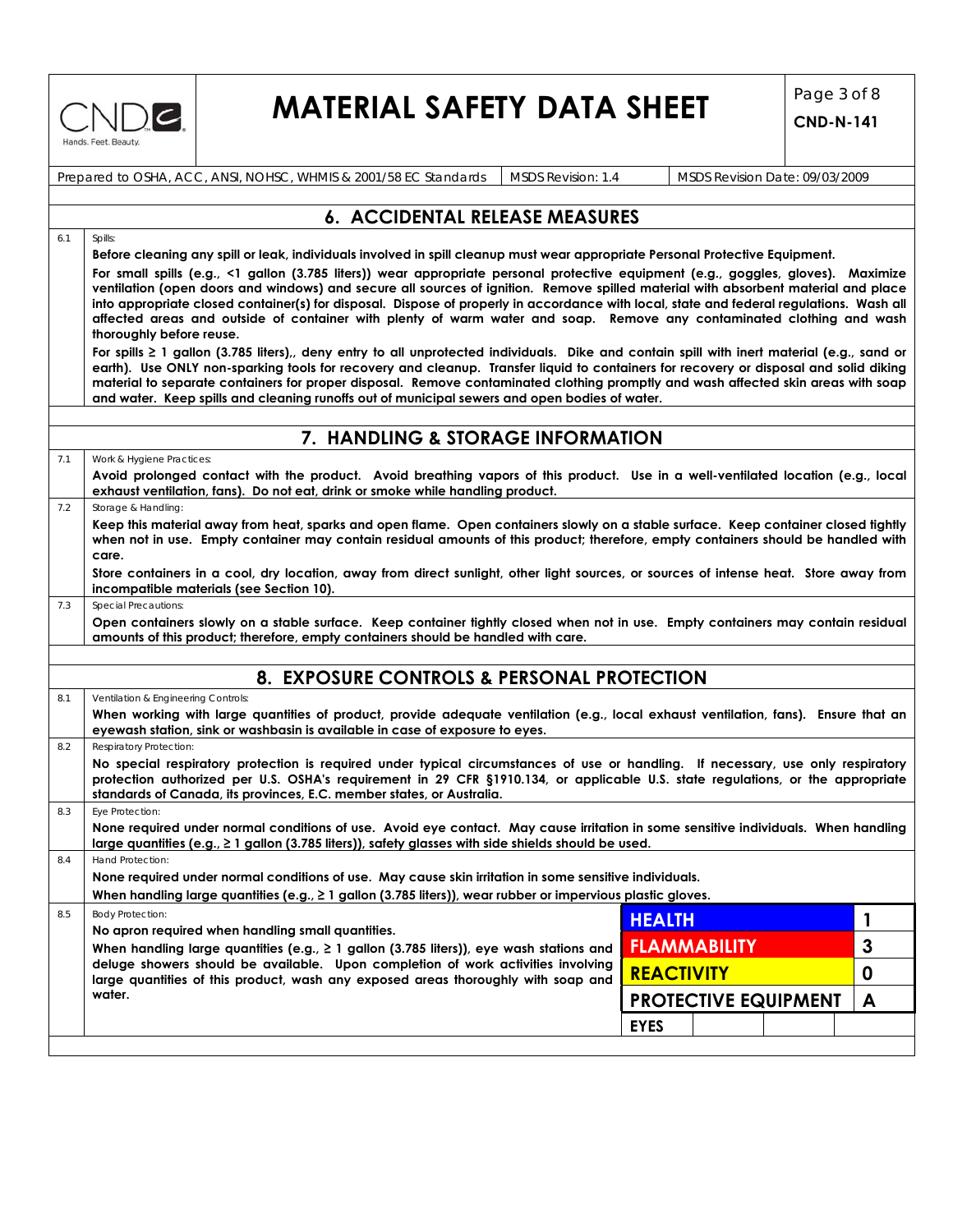

6.1 Spills:

## **MATERIAL SAFETY DATA SHEET** Page 3 of 8

**CND-N-141**

| Prepared to OSHA, ACC, ANSI, NOHSC, WHMIS & 2001/58 EC Standards   MSDS Revision: 1.4 |  | MSDS Revision Date: 09/03/2009 |
|---------------------------------------------------------------------------------------|--|--------------------------------|
|---------------------------------------------------------------------------------------|--|--------------------------------|

### **6. ACCIDENTAL RELEASE MEASURES**

**Before cleaning any spill or leak, individuals involved in spill cleanup must wear appropriate Personal Protective Equipment. For small spills (e.g., <1 gallon (3.785 liters)) wear appropriate personal protective equipment (e.g., goggles, gloves). Maximize ventilation (open doors and windows) and secure all sources of ignition. Remove spilled material with absorbent material and place into appropriate closed container(s) for disposal. Dispose of properly in accordance with local, state and federal regulations. Wash all affected areas and outside of container with plenty of warm water and soap. Remove any contaminated clothing and wash thoroughly before reuse.** 

**For spills ≥ 1 gallon (3.785 liters),, deny entry to all unprotected individuals. Dike and contain spill with inert material (e.g., sand or earth). Use ONLY non-sparking tools for recovery and cleanup. Transfer liquid to containers for recovery or disposal and solid diking material to separate containers for proper disposal. Remove contaminated clothing promptly and wash affected skin areas with soap and water. Keep spills and cleaning runoffs out of municipal sewers and open bodies of water.** 

### **7. HANDLING & STORAGE INFORMATION**

| Work & Hygiene Practices:                                                                                                                                                                                                                                                |
|--------------------------------------------------------------------------------------------------------------------------------------------------------------------------------------------------------------------------------------------------------------------------|
| Avoid prolonged contact with the product. Avoid breathing vapors of this product. Use in a well-ventilated location (e.g., local                                                                                                                                         |
| exhaust ventilation, fans). Do not eat, drink or smoke while handling product.                                                                                                                                                                                           |
| Storage & Handling:                                                                                                                                                                                                                                                      |
| Keep this material away from heat, sparks and open flame. Open containers slowly on a stable surface. Keep container closed tightly<br>when not in use. Empty container may contain residual amounts of this product; therefore, empty containers should be handled with |

**care. Store containers in a cool, dry location, away from direct sunlight, other light sources, or sources of intense heat. Store away from incompatible materials (see Section 10).** 

**Open containers slowly on a stable surface. Keep container tightly closed when not in use. Empty containers may contain residual amounts of this product; therefore, empty containers should be handled with care.** 

### **8. EXPOSURE CONTROLS & PERSONAL PROTECTION**

8.1 Ventilation & Engineering Controls:

7.3 Special Precautions

| When working with large quantities of product, provide adequate ventilation (e.g., local exhaust ventilation, fans). Ensure that an |  |  |  |  |  |  |
|-------------------------------------------------------------------------------------------------------------------------------------|--|--|--|--|--|--|
| evewash station, sink or washbasin is available in case of exposure to eves.                                                        |  |  |  |  |  |  |
| 0.2 Depression Dratection                                                                                                           |  |  |  |  |  |  |

| $0.2$ respiration $\gamma$ r rotection.                                                                                                                                                                                                                             |
|---------------------------------------------------------------------------------------------------------------------------------------------------------------------------------------------------------------------------------------------------------------------|
| No special respiratory protection is required under typical circumstances of use or handling. If necessary, use only respiratory<br>protection authorized per U.S. OSHA's requirement in 29 CFR §1910.134, or applicable U.S. state requlations, or the appropriate |
| standards of Canada, its provinces, E.C. member states, or Australia.                                                                                                                                                                                               |
| 8.3 Eye Protection:                                                                                                                                                                                                                                                 |

| None required under normal conditions of use. Avoid eye contact. May cause irritation in some sensitive individuals. When handling |  |
|------------------------------------------------------------------------------------------------------------------------------------|--|
| $\perp$ large quantities (e.g., $\geq 1$ gallon (3.785 liters)), safety glasses with side shields should be used.                  |  |

8.4 Hand Protection:

**None required under normal conditions of use. May cause skin irritation in some sensitive individuals. When handling large quantities (e.g., ≥ 1 gallon (3.785 liters)), wear rubber or impervious plastic gloves.** 

|     | when numaling large gournines (e.g., $\epsilon$ ) gallon (b.700 lifers)), wear robber or impervious plusify gloves.                                                   |                     |  |                             |  |   |
|-----|-----------------------------------------------------------------------------------------------------------------------------------------------------------------------|---------------------|--|-----------------------------|--|---|
| 8.5 | <b>Body Protection:</b>                                                                                                                                               | <b>HEALTH</b>       |  |                             |  |   |
|     | No apron required when handling small quantities.<br>When handling large quantities (e.g., $\geq 1$ gallon (3.785 liters)), eye wash stations and                     | <b>FLAMMABILITY</b> |  |                             |  | 3 |
|     | deluge showers should be available. Upon completion of work activities involving<br>large quantities of this product, wash any exposed areas thoroughly with soap and | <b>REACTIVITY</b>   |  |                             |  |   |
|     | water.                                                                                                                                                                |                     |  | <b>PROTECTIVE EQUIPMENT</b> |  |   |
|     |                                                                                                                                                                       | <b>EYES</b>         |  |                             |  |   |
|     |                                                                                                                                                                       |                     |  |                             |  |   |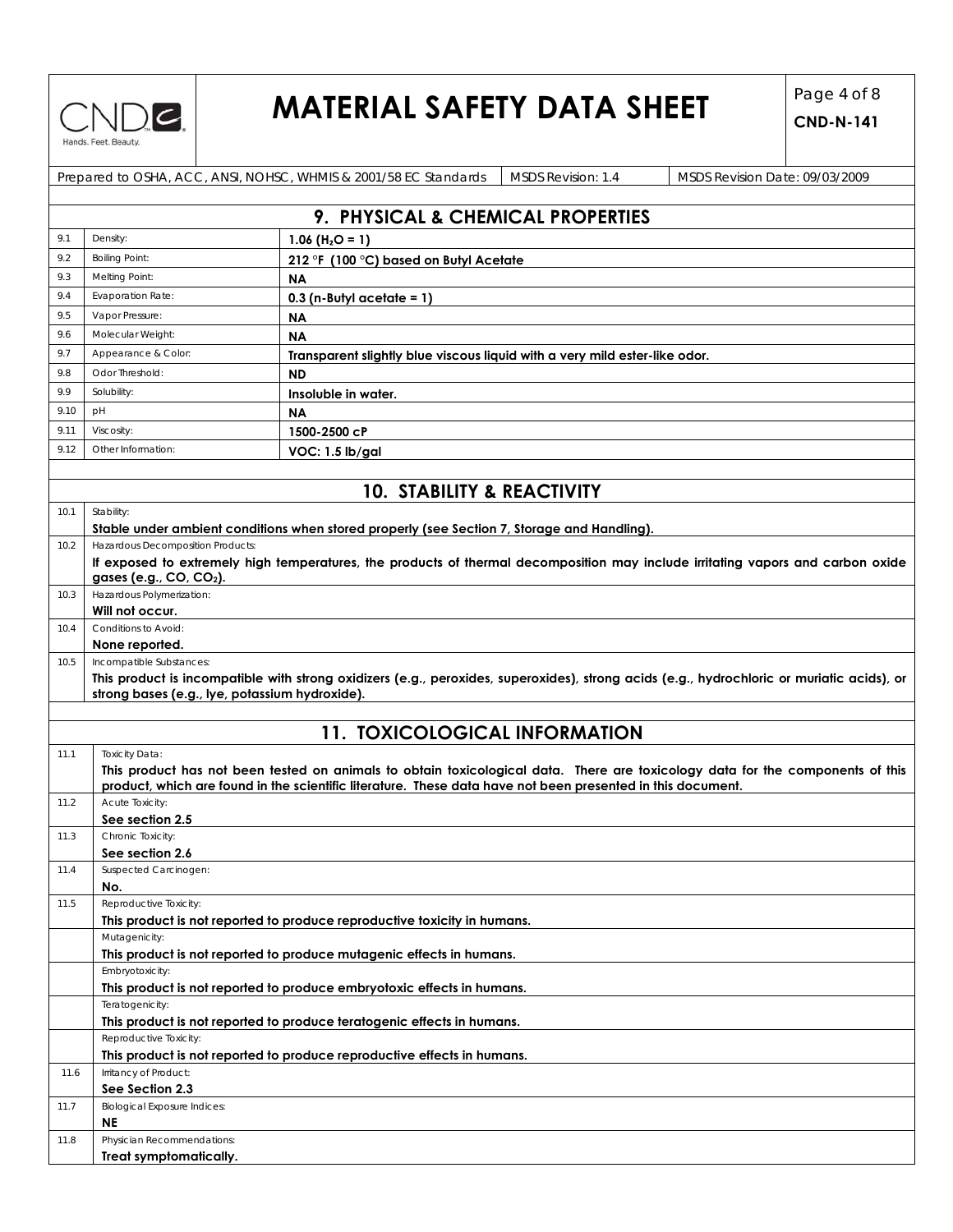

# **MATERIAL SAFETY DATA SHEET**  $\begin{bmatrix} \text{Page 4 of 8} \\ \text{CND N 141} \end{bmatrix}$

|            |                                                | Prepared to OSHA, ACC, ANSI, NOHSC, WHMIS & 2001/58 EC Standards<br><b>MSDS Revision: 1.4</b><br>MSDS Revision Date: 09/03/2009                                                                                                               |  |  |  |  |  |
|------------|------------------------------------------------|-----------------------------------------------------------------------------------------------------------------------------------------------------------------------------------------------------------------------------------------------|--|--|--|--|--|
|            |                                                |                                                                                                                                                                                                                                               |  |  |  |  |  |
|            |                                                | 9. PHYSICAL & CHEMICAL PROPERTIES                                                                                                                                                                                                             |  |  |  |  |  |
| 9.1        | Density:                                       | 1.06 ( $H2O = 1$ )                                                                                                                                                                                                                            |  |  |  |  |  |
| 9.2        | <b>Boiling Point:</b>                          | 212 °F (100 °C) based on Butyl Acetate                                                                                                                                                                                                        |  |  |  |  |  |
| 9.3        | Melting Point:                                 | <b>NA</b>                                                                                                                                                                                                                                     |  |  |  |  |  |
| 9.4        | <b>Evaporation Rate:</b>                       |                                                                                                                                                                                                                                               |  |  |  |  |  |
| 9.5        | $0.3$ (n-Butyl acetate = 1)<br>Vapor Pressure: |                                                                                                                                                                                                                                               |  |  |  |  |  |
|            | Molecular Weight:                              | <b>NA</b>                                                                                                                                                                                                                                     |  |  |  |  |  |
| 9.6<br>9.7 | Appearance & Color:                            | <b>NA</b>                                                                                                                                                                                                                                     |  |  |  |  |  |
|            | Odor Threshold:                                | Transparent slightly blue viscous liquid with a very mild ester-like odor.                                                                                                                                                                    |  |  |  |  |  |
| 9.8        |                                                | <b>ND</b>                                                                                                                                                                                                                                     |  |  |  |  |  |
| 9.9        | Solubility:                                    | Insoluble in water.                                                                                                                                                                                                                           |  |  |  |  |  |
| 9.10       | pH                                             | <b>NA</b>                                                                                                                                                                                                                                     |  |  |  |  |  |
| 9.11       | Viscosity:                                     | 1500-2500 cP                                                                                                                                                                                                                                  |  |  |  |  |  |
| 9.12       | Other Information:                             | VOC: 1.5 lb/gal                                                                                                                                                                                                                               |  |  |  |  |  |
|            |                                                |                                                                                                                                                                                                                                               |  |  |  |  |  |
|            |                                                | <b>10. STABILITY &amp; REACTIVITY</b>                                                                                                                                                                                                         |  |  |  |  |  |
| 10.1       | Stability:                                     |                                                                                                                                                                                                                                               |  |  |  |  |  |
|            |                                                | Stable under ambient conditions when stored properly (see Section 7, Storage and Handling).                                                                                                                                                   |  |  |  |  |  |
| 10.2       | Hazardous Decomposition Products:              |                                                                                                                                                                                                                                               |  |  |  |  |  |
|            |                                                | If exposed to extremely high temperatures, the products of thermal decomposition may include irritating vapors and carbon oxide                                                                                                               |  |  |  |  |  |
|            | gases (e.g., CO, CO <sub>2</sub> ).            |                                                                                                                                                                                                                                               |  |  |  |  |  |
| 10.3       | Hazardous Polymerization:                      |                                                                                                                                                                                                                                               |  |  |  |  |  |
| 10.4       | Will not occur.<br>Conditions to Avoid:        |                                                                                                                                                                                                                                               |  |  |  |  |  |
|            | None reported.                                 |                                                                                                                                                                                                                                               |  |  |  |  |  |
|            |                                                |                                                                                                                                                                                                                                               |  |  |  |  |  |
|            |                                                |                                                                                                                                                                                                                                               |  |  |  |  |  |
| 10.5       | Incompatible Substances:                       |                                                                                                                                                                                                                                               |  |  |  |  |  |
|            | strong bases (e.g., lye, potassium hydroxide). | This product is incompatible with strong oxidizers (e.g., peroxides, superoxides), strong acids (e.g., hydrochloric or muriatic acids), or                                                                                                    |  |  |  |  |  |
|            |                                                |                                                                                                                                                                                                                                               |  |  |  |  |  |
|            |                                                |                                                                                                                                                                                                                                               |  |  |  |  |  |
|            |                                                | <b>11. TOXICOLOGICAL INFORMATION</b>                                                                                                                                                                                                          |  |  |  |  |  |
| 11.1       | <b>Toxicity Data:</b>                          |                                                                                                                                                                                                                                               |  |  |  |  |  |
|            |                                                | This product has not been tested on animals to obtain toxicological data. There are toxicology data for the components of this<br>product, which are found in the scientific literature. These data have not been presented in this document. |  |  |  |  |  |
| 11.2       | Acute Toxicity:                                |                                                                                                                                                                                                                                               |  |  |  |  |  |
|            | See section 2.5                                |                                                                                                                                                                                                                                               |  |  |  |  |  |
| 11.3       | Chronic Toxicity:                              |                                                                                                                                                                                                                                               |  |  |  |  |  |
|            | See section 2.6                                |                                                                                                                                                                                                                                               |  |  |  |  |  |
| 11.4       | Suspected Carcinogen:                          |                                                                                                                                                                                                                                               |  |  |  |  |  |
|            | No.                                            |                                                                                                                                                                                                                                               |  |  |  |  |  |
| 11.5       | Reproductive Toxicity:                         | This product is not reported to produce reproductive toxicity in humans.                                                                                                                                                                      |  |  |  |  |  |
|            | Mutagenicity:                                  |                                                                                                                                                                                                                                               |  |  |  |  |  |
|            |                                                | This product is not reported to produce mutagenic effects in humans.                                                                                                                                                                          |  |  |  |  |  |
|            | Embryotoxicity:                                |                                                                                                                                                                                                                                               |  |  |  |  |  |
|            |                                                | This product is not reported to produce embryotoxic effects in humans.                                                                                                                                                                        |  |  |  |  |  |
|            | Teratogenicity:                                |                                                                                                                                                                                                                                               |  |  |  |  |  |
|            |                                                | This product is not reported to produce teratogenic effects in humans.                                                                                                                                                                        |  |  |  |  |  |
|            | Reproductive Toxicity:                         |                                                                                                                                                                                                                                               |  |  |  |  |  |
|            |                                                | This product is not reported to produce reproductive effects in humans.                                                                                                                                                                       |  |  |  |  |  |
| 11.6       | Irritancy of Product:                          |                                                                                                                                                                                                                                               |  |  |  |  |  |
|            | See Section 2.3                                |                                                                                                                                                                                                                                               |  |  |  |  |  |
| 11.7       | <b>Biological Exposure Indices:</b><br>NE      |                                                                                                                                                                                                                                               |  |  |  |  |  |
| 11.8       | Physician Recommendations:                     |                                                                                                                                                                                                                                               |  |  |  |  |  |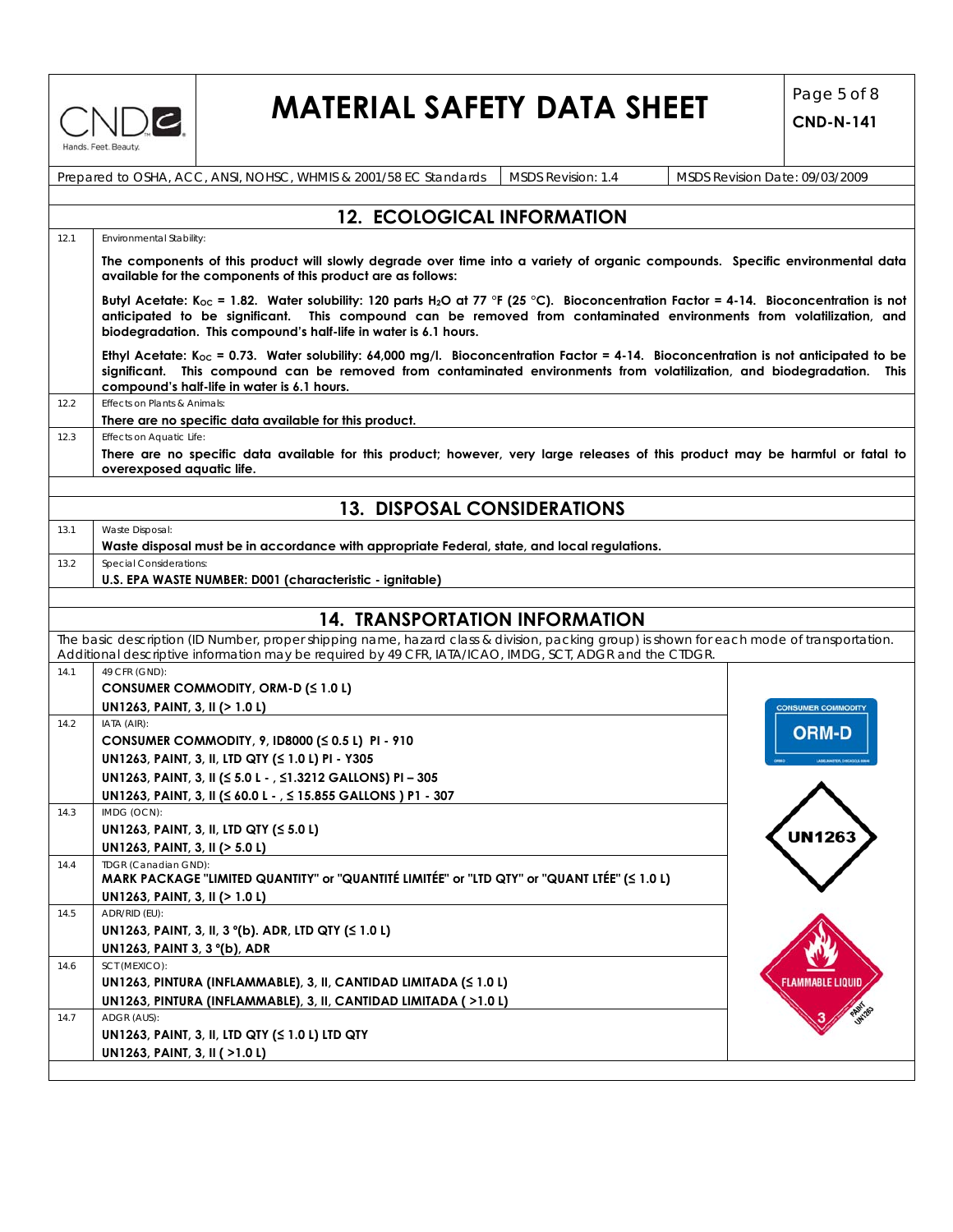

# **MATERIAL SAFETY DATA SHEET**  $\begin{bmatrix} \text{Page 5 of 8} \\ \text{CND N 141} \end{bmatrix}$

|      | Prepared to OSHA, ACC, ANSI, NOHSC, WHMIS & 2001/58 EC Standards<br>MSDS Revision: 1.4                                                                                                                                                                                                                                                                   | MSDS Revision Date: 09/03/2009 |  |  |  |  |  |
|------|----------------------------------------------------------------------------------------------------------------------------------------------------------------------------------------------------------------------------------------------------------------------------------------------------------------------------------------------------------|--------------------------------|--|--|--|--|--|
|      |                                                                                                                                                                                                                                                                                                                                                          |                                |  |  |  |  |  |
|      | <b>12. ECOLOGICAL INFORMATION</b>                                                                                                                                                                                                                                                                                                                        |                                |  |  |  |  |  |
| 12.1 | Environmental Stability:                                                                                                                                                                                                                                                                                                                                 |                                |  |  |  |  |  |
|      | The components of this product will slowly degrade over time into a variety of organic compounds. Specific environmental data<br>available for the components of this product are as follows:                                                                                                                                                            |                                |  |  |  |  |  |
|      | Butyl Acetate: K <sub>oc</sub> = 1.82. Water solubility: 120 parts H <sub>2</sub> O at 77 °F (25 °C). Bioconcentration Factor = 4-14. Bioconcentration is not<br>anticipated to be significant. This compound can be removed from contaminated environments from volatilization, and<br>biodegradation. This compound's half-life in water is 6.1 hours. |                                |  |  |  |  |  |
|      | Ethyl Acetate: K <sub>oc</sub> = 0.73. Water solubility: 64,000 mg/l. Bioconcentration Factor = 4-14. Bioconcentration is not anticipated to be<br>significant. This compound can be removed from contaminated environments from volatilization, and biodegradation. This<br>compound's half-life in water is 6.1 hours.                                 |                                |  |  |  |  |  |
| 12.2 | Effects on Plants & Animals:<br>There are no specific data available for this product.                                                                                                                                                                                                                                                                   |                                |  |  |  |  |  |
| 12.3 | Effects on Aquatic Life:                                                                                                                                                                                                                                                                                                                                 |                                |  |  |  |  |  |
|      | There are no specific data available for this product; however, very large releases of this product may be harmful or fatal to<br>overexposed aquatic life.                                                                                                                                                                                              |                                |  |  |  |  |  |
|      | <b>13. DISPOSAL CONSIDERATIONS</b>                                                                                                                                                                                                                                                                                                                       |                                |  |  |  |  |  |
| 13.1 | Waste Disposal:                                                                                                                                                                                                                                                                                                                                          |                                |  |  |  |  |  |
|      | Waste disposal must be in accordance with appropriate Federal, state, and local regulations.                                                                                                                                                                                                                                                             |                                |  |  |  |  |  |
| 13.2 | Special Considerations:                                                                                                                                                                                                                                                                                                                                  |                                |  |  |  |  |  |
|      | U.S. EPA WASTE NUMBER: D001 (characteristic - ignitable)                                                                                                                                                                                                                                                                                                 |                                |  |  |  |  |  |
|      |                                                                                                                                                                                                                                                                                                                                                          |                                |  |  |  |  |  |
|      | <b>14. TRANSPORTATION INFORMATION</b>                                                                                                                                                                                                                                                                                                                    |                                |  |  |  |  |  |
|      | The basic description (ID Number, proper shipping name, hazard class & division, packing group) is shown for each mode of transportation.                                                                                                                                                                                                                |                                |  |  |  |  |  |
|      | Additional descriptive information may be required by 49 CFR, IATA/ICAO, IMDG, SCT, ADGR and the CTDGR.                                                                                                                                                                                                                                                  |                                |  |  |  |  |  |
| 14.1 | 49 CFR (GND):                                                                                                                                                                                                                                                                                                                                            |                                |  |  |  |  |  |
|      | CONSUMER COMMODITY, ORM-D (≤ 1.0 L)                                                                                                                                                                                                                                                                                                                      |                                |  |  |  |  |  |
|      | UN1263, PAINT, 3, II (> 1.0 L)                                                                                                                                                                                                                                                                                                                           | CONSUMER COMMODITY             |  |  |  |  |  |
| 14.2 | IATA (AIR):<br>CONSUMER COMMODITY, 9, ID8000 (≤ 0.5 L) PI - 910                                                                                                                                                                                                                                                                                          | <b>ORM-D</b>                   |  |  |  |  |  |
|      |                                                                                                                                                                                                                                                                                                                                                          |                                |  |  |  |  |  |
|      | UN1263, PAINT, 3, II, LTD QTY (≤ 1.0 L) PI - Y305                                                                                                                                                                                                                                                                                                        |                                |  |  |  |  |  |
|      | UN1263, PAINT, 3, II (≤ 5.0 L - , ≤1.3212 GALLONS) PI - 305                                                                                                                                                                                                                                                                                              |                                |  |  |  |  |  |
|      | UN1263, PAINT, 3, II (≤ 60.0 L - , ≤ 15.855 GALLONS) P1 - 307<br>IMDG (OCN):                                                                                                                                                                                                                                                                             |                                |  |  |  |  |  |
| 14.3 | UN1263, PAINT, 3, II, LTD QTY (≤ 5.0 L)                                                                                                                                                                                                                                                                                                                  |                                |  |  |  |  |  |
|      | UN1263, PAINT, 3, II (> 5.0 L)                                                                                                                                                                                                                                                                                                                           | UN1263                         |  |  |  |  |  |
| 14.4 | TDGR (Canadian GND):<br>MARK PACKAGE "LIMITED QUANTITY" or "QUANTITÉ LIMITÉE" or "LTD QTY" or "QUANT LTÉE" (< 1.0 L)                                                                                                                                                                                                                                     |                                |  |  |  |  |  |
|      | UN1263, PAINT, 3, II (> 1.0 L)                                                                                                                                                                                                                                                                                                                           |                                |  |  |  |  |  |
| 14.5 | ADR/RID (EU):                                                                                                                                                                                                                                                                                                                                            |                                |  |  |  |  |  |
|      | UN1263, PAINT, 3, II, 3 °(b). ADR, LTD QTY (≤ 1.0 L)                                                                                                                                                                                                                                                                                                     |                                |  |  |  |  |  |
|      | UN1263, PAINT 3, 3 °(b), ADR                                                                                                                                                                                                                                                                                                                             |                                |  |  |  |  |  |
| 14.6 | SCT (MEXICO):                                                                                                                                                                                                                                                                                                                                            |                                |  |  |  |  |  |
|      | UN1263, PINTURA (INFLAMMABLE), 3, II, CANTIDAD LIMITADA (≤ 1.0 L)                                                                                                                                                                                                                                                                                        | Flammable Liquit               |  |  |  |  |  |
|      | UN1263, PINTURA (INFLAMMABLE), 3, II, CANTIDAD LIMITADA (>1.0 L)                                                                                                                                                                                                                                                                                         |                                |  |  |  |  |  |
| 14.7 | ADGR (AUS):                                                                                                                                                                                                                                                                                                                                              |                                |  |  |  |  |  |
|      | UN1263, PAINT, 3, II, LTD QTY (≤ 1.0 L) LTD QTY                                                                                                                                                                                                                                                                                                          |                                |  |  |  |  |  |
|      | UN1263, PAINT, 3, II ( >1.0 L)                                                                                                                                                                                                                                                                                                                           |                                |  |  |  |  |  |
|      |                                                                                                                                                                                                                                                                                                                                                          |                                |  |  |  |  |  |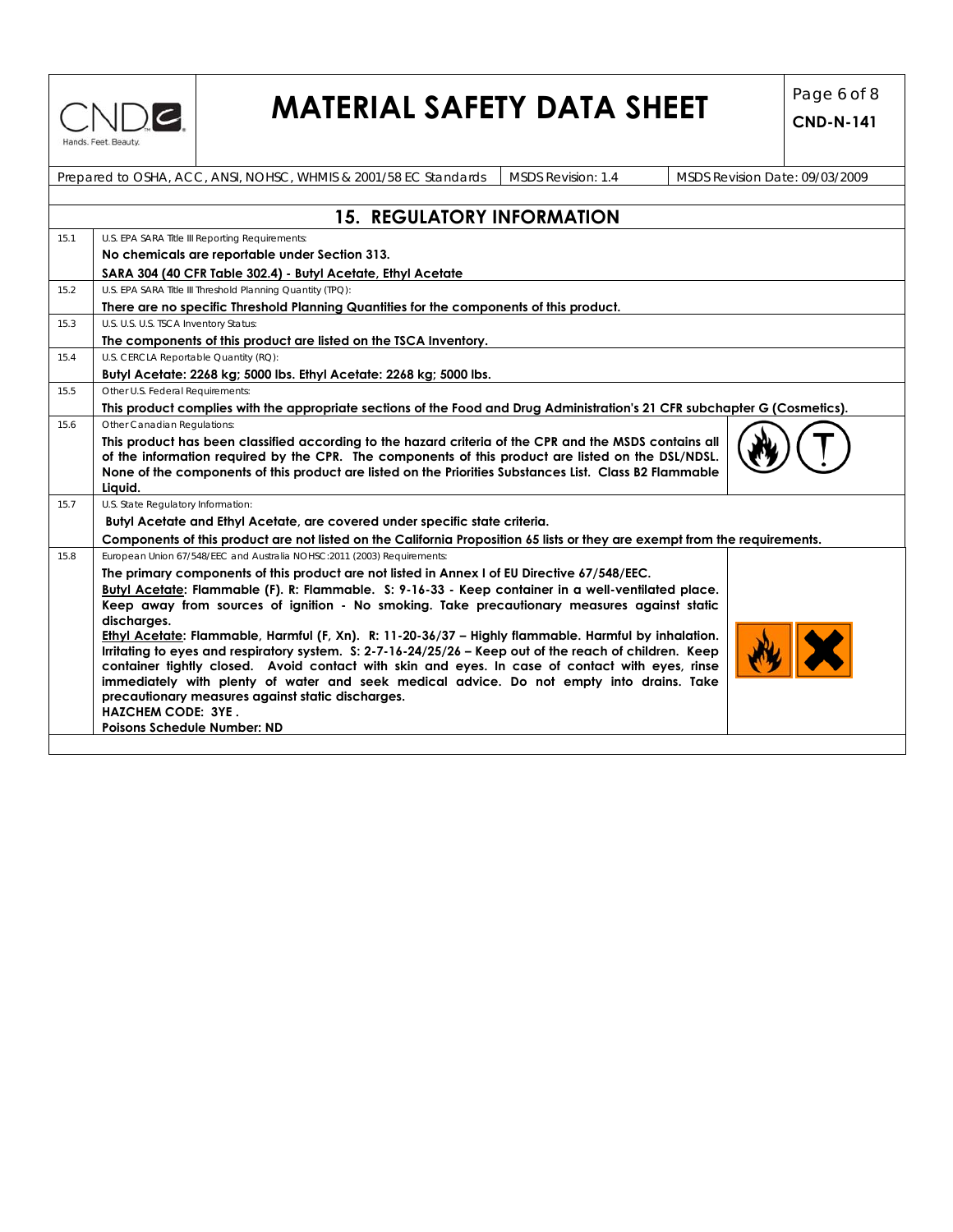

# **MATERIAL SAFETY DATA SHEET**  $\begin{bmatrix} \text{Page 6 of 8} \\ \text{CND N 141} \end{bmatrix}$

|      | Prepared to OSHA, ACC, ANSI, NOHSC, WHMIS & 2001/58 EC Standards                                                                                                                                                                                                                                                                   | MSDS Revision: 1.4 | MSDS Revision Date: 09/03/2009 |  |  |  |  |  |  |
|------|------------------------------------------------------------------------------------------------------------------------------------------------------------------------------------------------------------------------------------------------------------------------------------------------------------------------------------|--------------------|--------------------------------|--|--|--|--|--|--|
|      |                                                                                                                                                                                                                                                                                                                                    |                    |                                |  |  |  |  |  |  |
|      | <b>15. REGULATORY INFORMATION</b>                                                                                                                                                                                                                                                                                                  |                    |                                |  |  |  |  |  |  |
| 15.1 | U.S. EPA SARA Title III Reporting Requirements:                                                                                                                                                                                                                                                                                    |                    |                                |  |  |  |  |  |  |
|      | No chemicals are reportable under Section 313.                                                                                                                                                                                                                                                                                     |                    |                                |  |  |  |  |  |  |
|      | SARA 304 (40 CFR Table 302.4) - Butyl Acetate, Ethyl Acetate                                                                                                                                                                                                                                                                       |                    |                                |  |  |  |  |  |  |
| 15.2 | U.S. EPA SARA Title III Threshold Planning Quantity (TPQ):                                                                                                                                                                                                                                                                         |                    |                                |  |  |  |  |  |  |
|      | There are no specific Threshold Planning Quantities for the components of this product.                                                                                                                                                                                                                                            |                    |                                |  |  |  |  |  |  |
| 15.3 | U.S. U.S. U.S. TSCA Inventory Status:                                                                                                                                                                                                                                                                                              |                    |                                |  |  |  |  |  |  |
|      | The components of this product are listed on the TSCA Inventory.                                                                                                                                                                                                                                                                   |                    |                                |  |  |  |  |  |  |
| 15.4 | U.S. CERCLA Reportable Quantity (RQ):                                                                                                                                                                                                                                                                                              |                    |                                |  |  |  |  |  |  |
|      | Butyl Acetate: 2268 kg; 5000 lbs. Ethyl Acetate: 2268 kg; 5000 lbs.                                                                                                                                                                                                                                                                |                    |                                |  |  |  |  |  |  |
| 15.5 | Other U.S. Federal Requirements:                                                                                                                                                                                                                                                                                                   |                    |                                |  |  |  |  |  |  |
|      | This product complies with the appropriate sections of the Food and Drug Administration's 21 CFR subchapter G (Cosmetics).                                                                                                                                                                                                         |                    |                                |  |  |  |  |  |  |
| 15.6 | Other Canadian Regulations:                                                                                                                                                                                                                                                                                                        |                    |                                |  |  |  |  |  |  |
|      | This product has been classified according to the hazard criteria of the CPR and the MSDS contains all<br>of the information required by the CPR. The components of this product are listed on the DSL/NDSL.<br>None of the components of this product are listed on the Priorities Substances List. Class B2 Flammable<br>Liquid. |                    |                                |  |  |  |  |  |  |
| 15.7 | U.S. State Regulatory Information:                                                                                                                                                                                                                                                                                                 |                    |                                |  |  |  |  |  |  |
|      | Butyl Acetate and Ethyl Acetate, are covered under specific state criteria.                                                                                                                                                                                                                                                        |                    |                                |  |  |  |  |  |  |
|      | Components of this product are not listed on the California Proposition 65 lists or they are exempt from the requirements.                                                                                                                                                                                                         |                    |                                |  |  |  |  |  |  |
| 15.8 | European Union 67/548/EEC and Australia NOHSC:2011 (2003) Requirements:                                                                                                                                                                                                                                                            |                    |                                |  |  |  |  |  |  |
|      | The primary components of this product are not listed in Annex I of EU Directive 67/548/EEC.                                                                                                                                                                                                                                       |                    |                                |  |  |  |  |  |  |
|      | Butyl Acetate: Flammable (F). R: Flammable. S: 9-16-33 - Keep container in a well-ventilated place.                                                                                                                                                                                                                                |                    |                                |  |  |  |  |  |  |
|      | Keep away from sources of ignition - No smoking. Take precautionary measures against static                                                                                                                                                                                                                                        |                    |                                |  |  |  |  |  |  |
|      | discharges.                                                                                                                                                                                                                                                                                                                        |                    |                                |  |  |  |  |  |  |
|      | Ethyl Acetate: Flammable, Harmful (F, Xn). R: 11-20-36/37 - Highly flammable. Harmful by inhalation.                                                                                                                                                                                                                               |                    |                                |  |  |  |  |  |  |
|      | Irritating to eyes and respiratory system. S: 2-7-16-24/25/26 - Keep out of the reach of children. Keep<br>container tightly closed. Avoid contact with skin and eyes. In case of contact with eyes, rinse                                                                                                                         |                    |                                |  |  |  |  |  |  |
|      | immediately with plenty of water and seek medical advice. Do not empty into drains. Take                                                                                                                                                                                                                                           |                    |                                |  |  |  |  |  |  |
|      | precautionary measures against static discharges.                                                                                                                                                                                                                                                                                  |                    |                                |  |  |  |  |  |  |
|      | <b>HAZCHEM CODE: 3YE.</b>                                                                                                                                                                                                                                                                                                          |                    |                                |  |  |  |  |  |  |
|      | <b>Poisons Schedule Number: ND</b>                                                                                                                                                                                                                                                                                                 |                    |                                |  |  |  |  |  |  |
|      |                                                                                                                                                                                                                                                                                                                                    |                    |                                |  |  |  |  |  |  |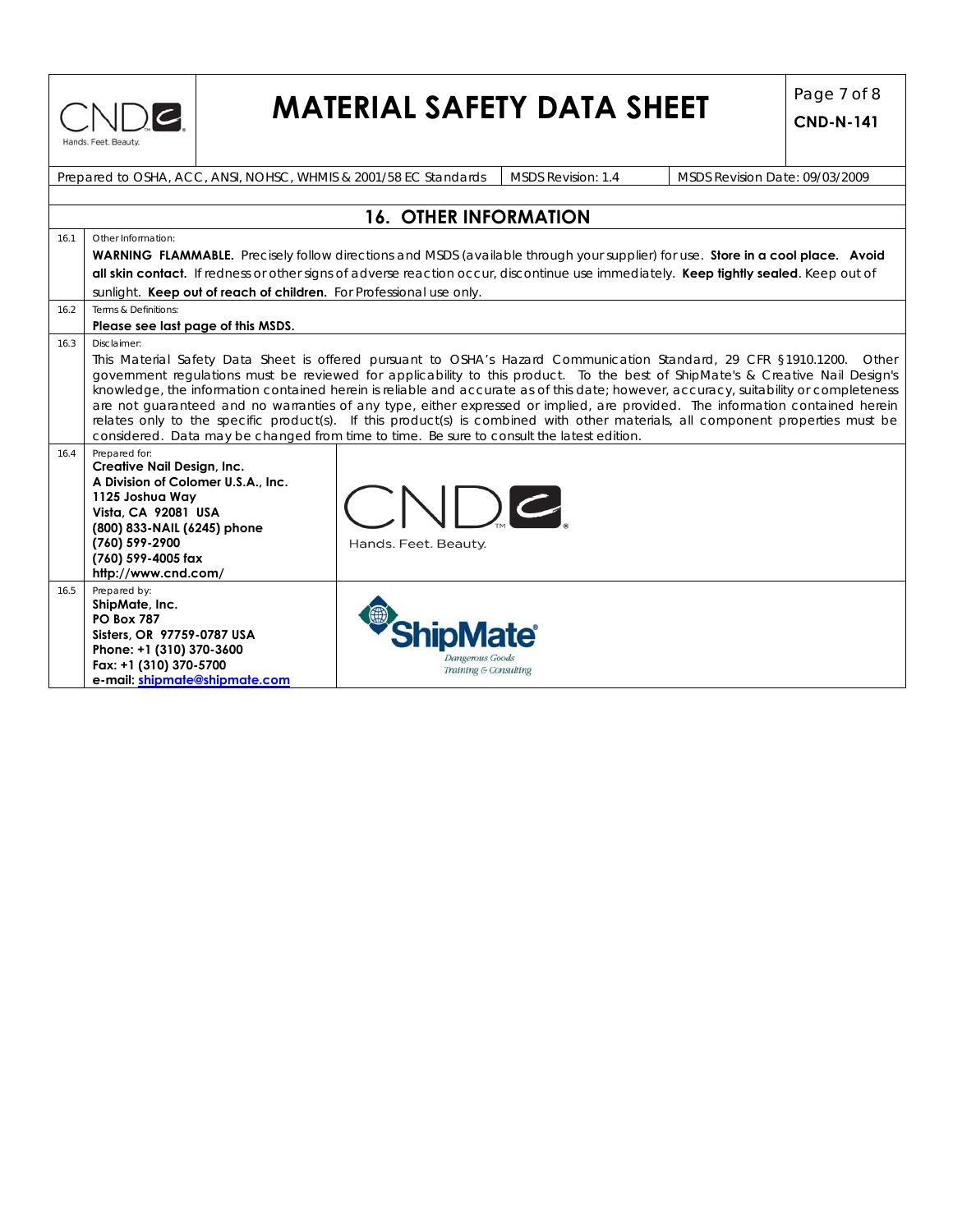

# **MATERIAL SAFETY DATA SHEET**  $\begin{bmatrix} \text{Page 7 of 8} \\ \text{CND N 141} \end{bmatrix}$

|      | Prepared to OSHA, ACC, ANSI, NOHSC, WHMIS & 2001/58 EC Standards                                                                       |                                          | <b>MSDS Revision: 1.4</b> | MSDS Revision Date: 09/03/2009                                                                                                                                                                                                                         |  |  |  |  |  |
|------|----------------------------------------------------------------------------------------------------------------------------------------|------------------------------------------|---------------------------|--------------------------------------------------------------------------------------------------------------------------------------------------------------------------------------------------------------------------------------------------------|--|--|--|--|--|
|      |                                                                                                                                        |                                          |                           |                                                                                                                                                                                                                                                        |  |  |  |  |  |
|      |                                                                                                                                        | <b>16. OTHER INFORMATION</b>             |                           |                                                                                                                                                                                                                                                        |  |  |  |  |  |
| 16.1 | Other Information:                                                                                                                     |                                          |                           |                                                                                                                                                                                                                                                        |  |  |  |  |  |
|      | <b>WARNING FLAMMABLE.</b> Precisely follow directions and MSDS (available through your supplier) for use. Store in a cool place. Avoid |                                          |                           |                                                                                                                                                                                                                                                        |  |  |  |  |  |
|      | all skin contact. If redness or other signs of adverse reaction occur, discontinue use immediately. Keep tightly sealed. Keep out of   |                                          |                           |                                                                                                                                                                                                                                                        |  |  |  |  |  |
|      | sunlight. Keep out of reach of children. For Professional use only.                                                                    |                                          |                           |                                                                                                                                                                                                                                                        |  |  |  |  |  |
| 16.2 | Terms & Definitions:                                                                                                                   |                                          |                           |                                                                                                                                                                                                                                                        |  |  |  |  |  |
|      | Please see last page of this MSDS.                                                                                                     |                                          |                           |                                                                                                                                                                                                                                                        |  |  |  |  |  |
| 16.3 | Disclaimer:                                                                                                                            |                                          |                           |                                                                                                                                                                                                                                                        |  |  |  |  |  |
|      |                                                                                                                                        |                                          |                           | This Material Safety Data Sheet is offered pursuant to OSHA's Hazard Communication Standard, 29 CFR §1910.1200. Other<br>government regulations must be reviewed for applicability to this product. To the best of ShipMate's & Creative Nail Design's |  |  |  |  |  |
|      |                                                                                                                                        |                                          |                           | knowledge, the information contained herein is reliable and accurate as of this date; however, accuracy, suitability or completeness                                                                                                                   |  |  |  |  |  |
|      |                                                                                                                                        |                                          |                           | are not guaranteed and no warranties of any type, either expressed or implied, are provided. The information contained herein                                                                                                                          |  |  |  |  |  |
|      |                                                                                                                                        |                                          |                           | relates only to the specific product(s). If this product(s) is combined with other materials, all component properties must be                                                                                                                         |  |  |  |  |  |
|      | considered. Data may be changed from time to time. Be sure to consult the latest edition.                                              |                                          |                           |                                                                                                                                                                                                                                                        |  |  |  |  |  |
| 16.4 | Prepared for:<br><b>Creative Nail Design, Inc.</b>                                                                                     |                                          |                           |                                                                                                                                                                                                                                                        |  |  |  |  |  |
|      | A Division of Colomer U.S.A., Inc.                                                                                                     |                                          |                           |                                                                                                                                                                                                                                                        |  |  |  |  |  |
|      | 1125 Joshua Way                                                                                                                        |                                          |                           |                                                                                                                                                                                                                                                        |  |  |  |  |  |
|      | Vista, CA 92081 USA                                                                                                                    |                                          | $ \hspace{.8mm}\rangle$ C |                                                                                                                                                                                                                                                        |  |  |  |  |  |
|      | (800) 833-NAIL (6245) phone                                                                                                            |                                          |                           |                                                                                                                                                                                                                                                        |  |  |  |  |  |
|      | (760) 599-2900<br>(760) 599-4005 fax                                                                                                   | Hands. Feet. Beauty.                     |                           |                                                                                                                                                                                                                                                        |  |  |  |  |  |
|      | http://www.cnd.com/                                                                                                                    |                                          |                           |                                                                                                                                                                                                                                                        |  |  |  |  |  |
| 16.5 | Prepared by:                                                                                                                           |                                          |                           |                                                                                                                                                                                                                                                        |  |  |  |  |  |
|      | ShipMate, Inc.                                                                                                                         |                                          |                           |                                                                                                                                                                                                                                                        |  |  |  |  |  |
|      | <b>PO Box 787</b><br>Sisters, OR 97759-0787 USA                                                                                        |                                          |                           |                                                                                                                                                                                                                                                        |  |  |  |  |  |
|      | Phone: +1 (310) 370-3600                                                                                                               |                                          |                           |                                                                                                                                                                                                                                                        |  |  |  |  |  |
|      | Fax: +1 (310) 370-5700                                                                                                                 | Dangerous Goods<br>Training & Consulting |                           |                                                                                                                                                                                                                                                        |  |  |  |  |  |
|      | e-mail: shipmate@shipmate.com                                                                                                          |                                          |                           |                                                                                                                                                                                                                                                        |  |  |  |  |  |